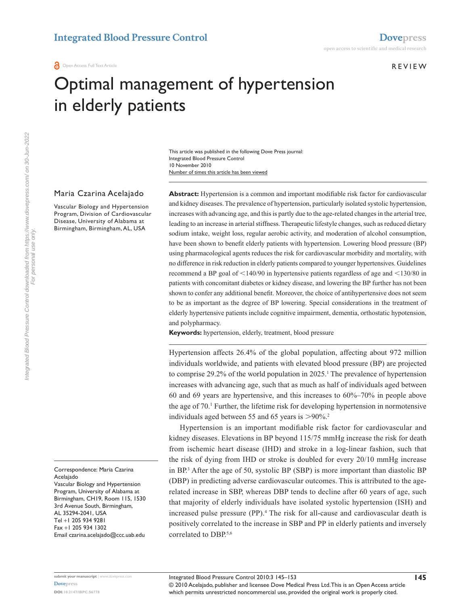**REVIEW** 

# Optimal management of hypertension in elderly patients

Number of times this article has been viewed This article was published in the following Dove Press journal: Integrated Blood Pressure Control 10 November 2010

#### Maria Czarina Acelajado

Vascular Biology and Hypertension Program, Division of Cardiovascular Disease, University of Alabama at Birmingham, Birmingham, AL, USA

Correspondence: Maria Czarina **Acelaiado** Vascular Biology and Hypertension Program, University of Alabama at Birmingham, CH19, Room 115, 1530 3rd Avenue South, Birmingham, AL 35294-2041, USA Tel +1 205 934 9281 Fax +1 205 934 1302 Email [czarina.acelajado@ccc.uab.edu](mailto:czarina.acelajado@ccc.uab.edu)

**Abstract:** Hypertension is a common and important modifiable risk factor for cardiovascular and kidney diseases. The prevalence of hypertension, particularly isolated systolic hypertension, increases with advancing age, and this is partly due to the age-related changes in the arterial tree, leading to an increase in arterial stiffness. Therapeutic lifestyle changes, such as reduced dietary sodium intake, weight loss, regular aerobic activity, and moderation of alcohol consumption, have been shown to benefit elderly patients with hypertension. Lowering blood pressure (BP) using pharmacological agents reduces the risk for cardiovascular morbidity and mortality, with no difference in risk reduction in elderly patients compared to younger hypertensives. Guidelines recommend a BP goal of  $\leq$ 140/90 in hypertensive patients regardless of age and  $\leq$ 130/80 in patients with concomitant diabetes or kidney disease, and lowering the BP further has not been shown to confer any additional benefit. Moreover, the choice of antihypertensive does not seem to be as important as the degree of BP lowering. Special considerations in the treatment of elderly hypertensive patients include cognitive impairment, dementia, orthostatic hypotension, and polypharmacy.

**Keywords:** hypertension, elderly, treatment, blood pressure

Hypertension affects 26.4% of the global population, affecting about 972 million individuals worldwide, and patients with elevated blood pressure (BP) are projected to comprise  $29.2\%$  of the world population in  $2025$ .<sup>1</sup> The prevalence of hypertension increases with advancing age, such that as much as half of individuals aged between 60 and 69 years are hypertensive, and this increases to 60%–70% in people above the age of 70.<sup>1</sup> Further, the lifetime risk for developing hypertension in normotensive individuals aged between 55 and 65 years is  $>90\%$ .<sup>2</sup>

Hypertension is an important modifiable risk factor for cardiovascular and kidney diseases. Elevations in BP beyond 115/75 mmHg increase the risk for death from ischemic heart disease (IHD) and stroke in a log-linear fashion, such that the risk of dying from IHD or stroke is doubled for every 20/10 mmHg increase in BP.3 After the age of 50, systolic BP (SBP) is more important than diastolic BP (DBP) in predicting adverse cardiovascular outcomes. This is attributed to the agerelated increase in SBP, whereas DBP tends to decline after 60 years of age, such that majority of elderly individuals have isolated systolic hypertension (ISH) and increased pulse pressure (PP).<sup>4</sup> The risk for all-cause and cardiovascular death is positively correlated to the increase in SBP and PP in elderly patients and inversely correlated to DBP.<sup>5,6</sup>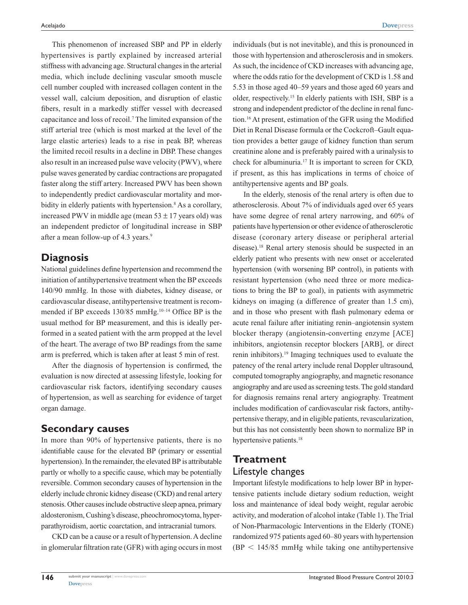This phenomenon of increased SBP and PP in elderly hypertensives is partly explained by increased arterial stiffness with advancing age. Structural changes in the arterial media, which include declining vascular smooth muscle cell number coupled with increased collagen content in the vessel wall, calcium deposition, and disruption of elastic fibers, result in a markedly stiffer vessel with decreased capacitance and loss of recoil.7 The limited expansion of the stiff arterial tree (which is most marked at the level of the large elastic arteries) leads to a rise in peak BP, whereas the limited recoil results in a decline in DBP. These changes also result in an increased pulse wave velocity (PWV), where pulse waves generated by cardiac contractions are propagated faster along the stiff artery. Increased PWV has been shown to independently predict cardiovascular mortality and morbidity in elderly patients with hypertension.<sup>8</sup> As a corollary, increased PWV in middle age (mean  $53 \pm 17$  years old) was an independent predictor of longitudinal increase in SBP after a mean follow-up of 4.3 years.<sup>9</sup>

## **Diagnosis**

National guidelines define hypertension and recommend the initiation of antihypertensive treatment when the BP exceeds 140/90 mmHg. In those with diabetes, kidney disease, or cardiovascular disease, antihypertensive treatment is recommended if BP exceeds 130/85 mmHg.<sup>10-14</sup> Office BP is the usual method for BP measurement, and this is ideally performed in a seated patient with the arm propped at the level of the heart. The average of two BP readings from the same arm is preferred, which is taken after at least 5 min of rest.

After the diagnosis of hypertension is confirmed, the evaluation is now directed at assessing lifestyle, looking for cardiovascular risk factors, identifying secondary causes of hypertension, as well as searching for evidence of target organ damage.

## **Secondary causes**

In more than 90% of hypertensive patients, there is no identifiable cause for the elevated BP (primary or essential hypertension). In the remainder, the elevated BP is attributable partly or wholly to a specific cause, which may be potentially reversible. Common secondary causes of hypertension in the elderly include chronic kidney disease (CKD) and renal artery stenosis. Other causes include obstructive sleep apnea, primary aldosteronism, Cushing's disease, pheochromocytoma, hyperparathyroidism, aortic coarctation, and intracranial tumors.

CKD can be a cause or a result of hypertension. A decline in glomerular filtration rate (GFR) with aging occurs in most

individuals (but is not inevitable), and this is pronounced in those with hypertension and atherosclerosis and in smokers. As such, the incidence of CKD increases with advancing age, where the odds ratio for the development of CKD is 1.58 and 5.53 in those aged 40–59 years and those aged 60 years and older, respectively.15 In elderly patients with ISH, SBP is a strong and independent predictor of the decline in renal function.16 At present, estimation of the GFR using the Modified Diet in Renal Disease formula or the Cockcroft–Gault equation provides a better gauge of kidney function than serum creatinine alone and is preferably paired with a urinalysis to check for albuminuria.17 It is important to screen for CKD, if present, as this has implications in terms of choice of antihypertensive agents and BP goals.

In the elderly, stenosis of the renal artery is often due to atherosclerosis. About 7% of individuals aged over 65 years have some degree of renal artery narrowing, and 60% of patients have hypertension or other evidence of atherosclerotic disease (coronary artery disease or peripheral arterial disease).18 Renal artery stenosis should be suspected in an elderly patient who presents with new onset or accelerated hypertension (with worsening BP control), in patients with resistant hypertension (who need three or more medications to bring the BP to goal), in patients with asymmetric kidneys on imaging (a difference of greater than 1.5 cm), and in those who present with flash pulmonary edema or acute renal failure after initiating renin–angiotensin system blocker therapy (angiotensin-converting enzyme [ACE] inhibitors, angiotensin receptor blockers [ARB], or direct renin inhibitors).19 Imaging techniques used to evaluate the patency of the renal artery include renal Doppler ultrasound, computed tomography angiography, and magnetic resonance angiography and are used as screening tests. The gold standard for diagnosis remains renal artery angiography. Treatment includes modification of cardiovascular risk factors, antihypertensive therapy, and in eligible patients, revascularization, but this has not consistently been shown to normalize BP in hypertensive patients.<sup>18</sup>

# **Treatment** Lifestyle changes

Important lifestyle modifications to help lower BP in hypertensive patients include dietary sodium reduction, weight loss and maintenance of ideal body weight, regular aerobic activity, and moderation of alcohol intake (Table 1). The Trial of Non-Pharmacologic Interventions in the Elderly (TONE) randomized 975 patients aged 60–80 years with hypertension  $(BP < 145/85$  mmHg while taking one antihypertensive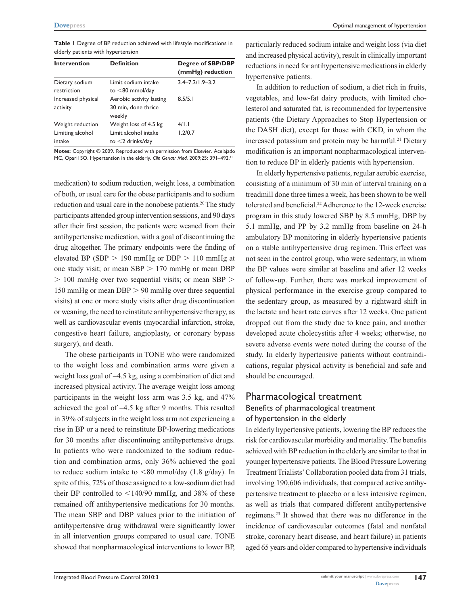**Table 1** Degree of BP reduction achieved with lifestyle modifications in elderly patients with hypertension

| <b>Intervention</b>            | <b>Definition</b>                                         | Degree of SBP/DBP<br>(mmHg) reduction |
|--------------------------------|-----------------------------------------------------------|---------------------------------------|
| Dietary sodium<br>restriction  | Limit sodium intake<br>to $<$ 80 mmol/day                 | $3.4 - 7.2$ /1.9-3.2                  |
| Increased physical<br>activity | Aerobic activity lasting<br>30 min, done thrice<br>weekly | 8.5/5.1                               |
| Weight reduction               | Weight loss of 4.5 kg                                     | 4/1.1                                 |
| Limiting alcohol<br>intake     | Limit alcohol intake<br>to $<$ 2 drinks/day               | 1.2/0.7                               |

**Notes:** Copyright © 2009. Reproduced with permission from Elsevier. Acelajado MC, Oparil SO. Hypertension in the elderly. *Clin Geriatr Med.* 2009;25: 391–492.41

medication) to sodium reduction, weight loss, a combination of both, or usual care for the obese participants and to sodium reduction and usual care in the nonobese patients.<sup>20</sup> The study participants attended group intervention sessions, and 90 days after their first session, the patients were weaned from their antihypertensive medication, with a goal of discontinuing the drug altogether. The primary endpoints were the finding of elevated BP (SBP  $> 190$  mmHg or DBP  $> 110$  mmHg at one study visit; or mean  $SBP > 170$  mmHg or mean DBP  $>$  100 mmHg over two sequential visits; or mean SBP  $>$ 150 mmHg or mean  $DBP > 90$  mmHg over three sequential visits) at one or more study visits after drug discontinuation or weaning, the need to reinstitute antihypertensive therapy, as well as cardiovascular events (myocardial infarction, stroke, congestive heart failure, angioplasty, or coronary bypass surgery), and death.

The obese participants in TONE who were randomized to the weight loss and combination arms were given a weight loss goal of −4.5 kg, using a combination of diet and increased physical activity. The average weight loss among participants in the weight loss arm was 3.5 kg, and 47% achieved the goal of −4.5 kg after 9 months. This resulted in 39% of subjects in the weight loss arm not experiencing a rise in BP or a need to reinstitute BP-lowering medications for 30 months after discontinuing antihypertensive drugs. In patients who were randomized to the sodium reduction and combination arms, only 36% achieved the goal to reduce sodium intake to  $\leq 80$  mmol/day (1.8 g/day). In spite of this, 72% of those assigned to a low-sodium diet had their BP controlled to  $\langle 140/90 \text{ mmHg}$ , and 38% of these remained off antihypertensive medications for 30 months. The mean SBP and DBP values prior to the initiation of antihypertensive drug withdrawal were significantly lower in all intervention groups compared to usual care. TONE showed that nonpharmacological interventions to lower BP,

particularly reduced sodium intake and weight loss (via diet and increased physical activity), result in clinically important reductions in need for antihypertensive medications in elderly hypertensive patients.

In addition to reduction of sodium, a diet rich in fruits, vegetables, and low-fat dairy products, with limited cholesterol and saturated fat, is recommended for hypertensive patients (the Dietary Approaches to Stop Hypertension or the DASH diet), except for those with CKD, in whom the increased potassium and protein may be harmful.<sup>21</sup> Dietary modification is an important nonpharmacological intervention to reduce BP in elderly patients with hypertension.

In elderly hypertensive patients, regular aerobic exercise, consisting of a minimum of 30 min of interval training on a treadmill done three times a week, has been shown to be well tolerated and beneficial.<sup>22</sup> Adherence to the 12-week exercise program in this study lowered SBP by 8.5 mmHg, DBP by 5.1 mmHg, and PP by 3.2 mmHg from baseline on 24-h ambulatory BP monitoring in elderly hypertensive patients on a stable antihypertensive drug regimen. This effect was not seen in the control group, who were sedentary, in whom the BP values were similar at baseline and after 12 weeks of follow-up. Further, there was marked improvement of physical performance in the exercise group compared to the sedentary group, as measured by a rightward shift in the lactate and heart rate curves after 12 weeks. One patient dropped out from the study due to knee pain, and another developed acute cholecystitis after 4 weeks; otherwise, no severe adverse events were noted during the course of the study. In elderly hypertensive patients without contraindications, regular physical activity is beneficial and safe and should be encouraged.

## Pharmacological treatment Benefits of pharmacological treatment of hypertension in the elderly

In elderly hypertensive patients, lowering the BP reduces the risk for cardiovascular morbidity and mortality. The benefits achieved with BP reduction in the elderly are similar to that in younger hypertensive patients. The Blood Pressure Lowering Treatment Trialists' Collaboration pooled data from 31 trials, involving 190,606 individuals, that compared active antihypertensive treatment to placebo or a less intensive regimen, as well as trials that compared different antihypertensive regimens.23 It showed that there was no difference in the incidence of cardiovascular outcomes (fatal and nonfatal stroke, coronary heart disease, and heart failure) in patients aged 65 years and older compared to hypertensive individuals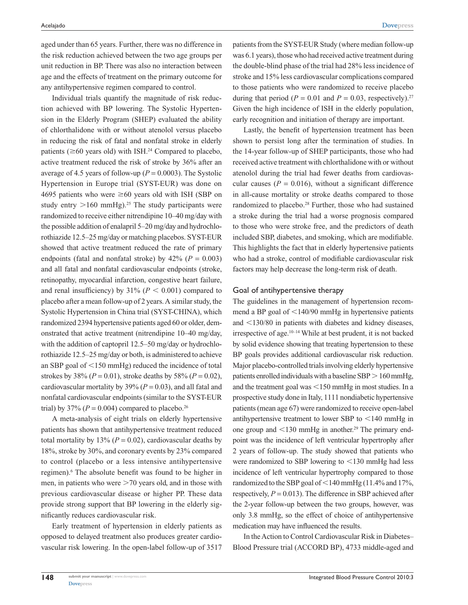aged under than 65 years. Further, there was no difference in the risk reduction achieved between the two age groups per unit reduction in BP. There was also no interaction between age and the effects of treatment on the primary outcome for any antihypertensive regimen compared to control.

Individual trials quantify the magnitude of risk reduction achieved with BP lowering. The Systolic Hypertension in the Elderly Program (SHEP) evaluated the ability of chlorthalidone with or without atenolol versus placebo in reducing the risk of fatal and nonfatal stroke in elderly patients ( $\geq 60$  years old) with ISH.<sup>24</sup> Compared to placebo, active treatment reduced the risk of stroke by 36% after an average of 4.5 years of follow-up ( $P = 0.0003$ ). The Systolic Hypertension in Europe trial (SYST-EUR) was done on 4695 patients who were  $\geq 60$  years old with ISH (SBP on study entry  $>160$  mmHg).<sup>25</sup> The study participants were randomized to receive either nitrendipine 10–40 mg/day with the possible addition of enalapril 5–20 mg/day and hydrochlorothiazide 12.5–25 mg/day or matching placebos. SYST-EUR showed that active treatment reduced the rate of primary endpoints (fatal and nonfatal stroke) by  $42\%$  ( $P = 0.003$ ) and all fatal and nonfatal cardiovascular endpoints (stroke, retinopathy, myocardial infarction, congestive heart failure, and renal insufficiency) by  $31\%$  ( $P < 0.001$ ) compared to placebo after a mean follow-up of 2 years. A similar study, the Systolic Hypertension in China trial (SYST-CHINA), which randomized 2394 hypertensive patients aged 60 or older, demonstrated that active treatment (nitrendipine 10–40 mg/day, with the addition of captopril 12.5–50 mg/day or hydrochlorothiazide 12.5–25 mg/day or both, is administered to achieve an SBP goal of  $\leq$ 150 mmHg) reduced the incidence of total strokes by 38% ( $P = 0.01$ ), stroke deaths by 58% ( $P = 0.02$ ), cardiovascular mortality by 39% (*P* = 0.03), and all fatal and nonfatal cardiovascular endpoints (similar to the SYST-EUR trial) by 37% ( $P = 0.004$ ) compared to placebo.<sup>26</sup>

A meta-analysis of eight trials on elderly hypertensive patients has shown that antihypertensive treatment reduced total mortality by 13%  $(P = 0.02)$ , cardiovascular deaths by 18%, stroke by 30%, and coronary events by 23% compared to control (placebo or a less intensive antihypertensive regimen).<sup>6</sup> The absolute benefit was found to be higher in men, in patients who were  $>70$  years old, and in those with previous cardiovascular disease or higher PP. These data provide strong support that BP lowering in the elderly significantly reduces cardiovascular risk.

Early treatment of hypertension in elderly patients as opposed to delayed treatment also produces greater cardiovascular risk lowering. In the open-label follow-up of 3517 patients from the SYST-EUR Study (where median follow-up was 6.1 years), those who had received active treatment during the double-blind phase of the trial had 28% less incidence of stroke and 15% less cardiovascular complications compared to those patients who were randomized to receive placebo during that period ( $P = 0.01$  and  $P = 0.03$ , respectively).<sup>27</sup> Given the high incidence of ISH in the elderly population, early recognition and initiation of therapy are important.

Lastly, the benefit of hypertension treatment has been shown to persist long after the termination of studies. In the 14-year follow-up of SHEP participants, those who had received active treatment with chlorthalidone with or without atenolol during the trial had fewer deaths from cardiovascular causes  $(P = 0.016)$ , without a significant difference in all-cause mortality or stroke deaths compared to those randomized to placebo.28 Further, those who had sustained a stroke during the trial had a worse prognosis compared to those who were stroke free, and the predictors of death included SBP, diabetes, and smoking, which are modifiable. This highlights the fact that in elderly hypertensive patients who had a stroke, control of modifiable cardiovascular risk factors may help decrease the long-term risk of death.

#### Goal of antihypertensive therapy

The guidelines in the management of hypertension recommend a BP goal of  $\leq$ 140/90 mmHg in hypertensive patients and  $\leq$ 130/80 in patients with diabetes and kidney diseases, irrespective of age.10–14 While at best prudent, it is not backed by solid evidence showing that treating hypertension to these BP goals provides additional cardiovascular risk reduction. Major placebo-controlled trials involving elderly hypertensive patients enrolled individuals with a baseline  $SBP > 160$  mmHg, and the treatment goal was  $\leq$ 150 mmHg in most studies. In a prospective study done in Italy, 1111 nondiabetic hypertensive patients (mean age 67) were randomized to receive open-label antihypertensive treatment to lower SBP to  $\leq$ 140 mmHg in one group and  $\leq$ 130 mmHg in another.<sup>29</sup> The primary endpoint was the incidence of left ventricular hypertrophy after 2 years of follow-up. The study showed that patients who were randomized to SBP lowering to  $\leq$ 130 mmHg had less incidence of left ventricular hypertrophy compared to those randomized to the SBP goal of  $<$  140 mmHg (11.4% and 17%, respectively,  $P = 0.013$ ). The difference in SBP achieved after the 2-year follow-up between the two groups, however, was only 3.8 mmHg, so the effect of choice of antihypertensive medication may have influenced the results.

In the Action to Control Cardiovascular Risk in Diabetes– Blood Pressure trial (ACCORD BP), 4733 middle-aged and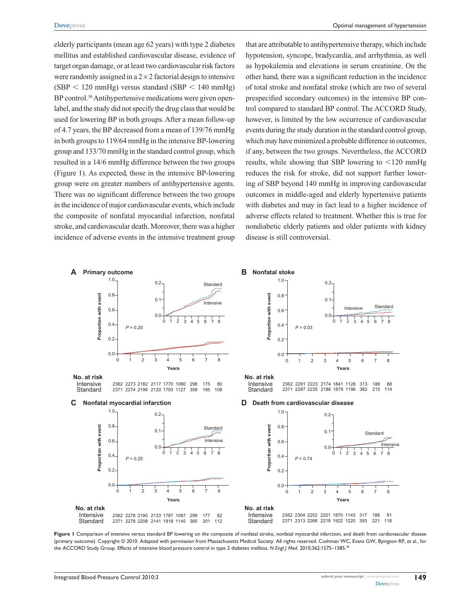elderly participants (mean age 62 years) with type 2 diabetes mellitus and established cardiovascular disease, evidence of target organ damage, or at least two cardiovascular risk factors were randomly assigned in a  $2 \times 2$  factorial design to intensive  $(SBP < 120 \text{ mmHg})$  versus standard  $(SBP < 140 \text{ mmHg})$ BP control.<sup>30</sup> Antihypertensive medications were given openlabel, and the study did not specify the drug class that would be used for lowering BP in both groups. After a mean follow-up of 4.7 years, the BP decreased from a mean of 139/76 mmHg in both groups to 119/64 mmHg in the intensive BP-lowering group and 133/70 mmHg in the standard control group, which resulted in a 14/6 mmHg difference between the two groups (Figure 1). As expected, those in the intensive BP-lowering group were on greater numbers of antihypertensive agents. There was no significant difference between the two groups in the incidence of major cardiovascular events, which include the composite of nonfatal myocardial infarction, nonfatal stroke, and cardiovascular death. Moreover, there was a higher incidence of adverse events in the intensive treatment group

that are attributable to antihypertensive therapy, which include hypotension, syncope, bradycardia, and arrhythmia, as well as hypokalemia and elevations in serum creatinine. On the other hand, there was a significant reduction in the incidence of total stroke and nonfatal stroke (which are two of several prespecified secondary outcomes) in the intensive BP control compared to standard BP control. The ACCORD Study, however, is limited by the low occurrence of cardiovascular events during the study duration in the standard control group, which may have minimized a probable difference in outcomes, if any, between the two groups. Nevertheless, the ACCORD results, while showing that SBP lowering to  $\leq$ 120 mmHg reduces the risk for stroke, did not support further lowering of SBP beyond 140 mmHg in improving cardiovascular outcomes in middle-aged and elderly hypertensive patients with diabetes and may in fact lead to a higher incidence of adverse effects related to treatment. Whether this is true for nondiabetic elderly patients and older patients with kidney disease is still controversial.



Figure I Comparison of intensive versus standard BP lowering on the composite of nonfatal stroke, nonfatal myocardial infarction, and death from cardiovascular disease (primary outcome). Copyright © 2010. Adapted with permission from Massachusetts Medical Society. All rights reserved. Cushman WC, Evans GW, Byington RP, et al., for the ACCORD Study Group. Effects of intensive blood pressure control in type 2 diabetes mellitus. *N Engl J Med*. 2010;362:1575–1585.30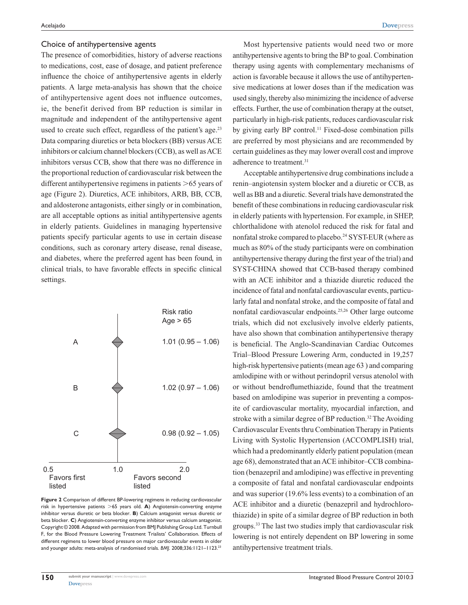#### Choice of antihypertensive agents

The presence of comorbidities, history of adverse reactions to medications, cost, ease of dosage, and patient preference influence the choice of antihypertensive agents in elderly patients. A large meta-analysis has shown that the choice of antihypertensive agent does not influence outcomes, ie, the benefit derived from BP reduction is similar in magnitude and independent of the antihypertensive agent used to create such effect, regardless of the patient's age.<sup>23</sup> Data comparing diuretics or beta blockers (BB) versus ACE inhibitors or calcium channel blockers (CCB), as well as ACE inhibitors versus CCB, show that there was no difference in the proportional reduction of cardiovascular risk between the different antihypertensive regimens in patients  $>65$  years of age (Figure 2). Diuretics, ACE inhibitors, ARB, BB, CCB, and aldosterone antagonists, either singly or in combination, are all acceptable options as initial antihypertensive agents in elderly patients. Guidelines in managing hypertensive patients specify particular agents to use in certain disease conditions, such as coronary artery disease, renal disease, and diabetes, where the preferred agent has been found, in clinical trials, to have favorable effects in specific clinical settings.



**Figure 2** Comparison of different BP-lowering regimens in reducing cardiovascular risk in hypertensive patients >65 years old. **A**) Angiotensin-converting enzyme inhibitor versus diuretic or beta blocker. **B**) Calcium antagonist versus diuretic or beta blocker. **C**) Angiotensin-converting enzyme inhibitor versus calcium antagonist. Copyright © 2008. Adapted with permission from BMJ Publishing Group Ltd. Turnbull F, for the Blood Pressure Lowering Treatment Trialists' Collaboration. Effects of different regimens to lower blood pressure on major cardiovascular events in older and younger adults: meta-analysis of randomised trials. *BMJ*. 2008;336:1121–1123.23

Most hypertensive patients would need two or more antihypertensive agents to bring the BP to goal. Combination therapy using agents with complementary mechanisms of action is favorable because it allows the use of antihypertensive medications at lower doses than if the medication was used singly, thereby also minimizing the incidence of adverse effects. Further, the use of combination therapy at the outset, particularly in high-risk patients, reduces cardiovascular risk by giving early BP control.<sup>11</sup> Fixed-dose combination pills are preferred by most physicians and are recommended by certain guidelines as they may lower overall cost and improve adherence to treatment.<sup>31</sup>

Acceptable antihypertensive drug combinations include a renin–angiotensin system blocker and a diuretic or CCB, as well as BB and a diuretic. Several trials have demonstrated the benefit of these combinations in reducing cardiovascular risk in elderly patients with hypertension. For example, in SHEP, chlorthalidone with atenolol reduced the risk for fatal and nonfatal stroke compared to placebo.<sup>24</sup> SYST-EUR (where as much as 80% of the study participants were on combination antihypertensive therapy during the first year of the trial) and SYST-CHINA showed that CCB-based therapy combined with an ACE inhibitor and a thiazide diuretic reduced the incidence of fatal and nonfatal cardiovascular events, particularly fatal and nonfatal stroke, and the composite of fatal and nonfatal cardiovascular endpoints.25,26 Other large outcome trials, which did not exclusively involve elderly patients, have also shown that combination antihypertensive therapy is beneficial. The Anglo-Scandinavian Cardiac Outcomes Trial–Blood Pressure Lowering Arm, conducted in 19,257 high-risk hypertensive patients (mean age 63 ) and comparing amlodipine with or without perindopril versus atenolol with or without bendroflumethiazide, found that the treatment based on amlodipine was superior in preventing a composite of cardiovascular mortality, myocardial infarction, and stroke with a similar degree of BP reduction.<sup>32</sup> The Avoiding Cardiovascular Events thru Combination Therapy in Patients Living with Systolic Hypertension (ACCOMPLISH) trial, which had a predominantly elderly patient population (mean age 68), demonstrated that an ACE inhibitor–CCB combination (benazepril and amlodipine) was effective in preventing a composite of fatal and nonfatal cardiovascular endpoints and was superior (19.6% less events) to a combination of an ACE inhibitor and a diuretic (benazepril and hydrochlorothiazide) in spite of a similar degree of BP reduction in both groups.33 The last two studies imply that cardiovascular risk lowering is not entirely dependent on BP lowering in some antihypertensive treatment trials.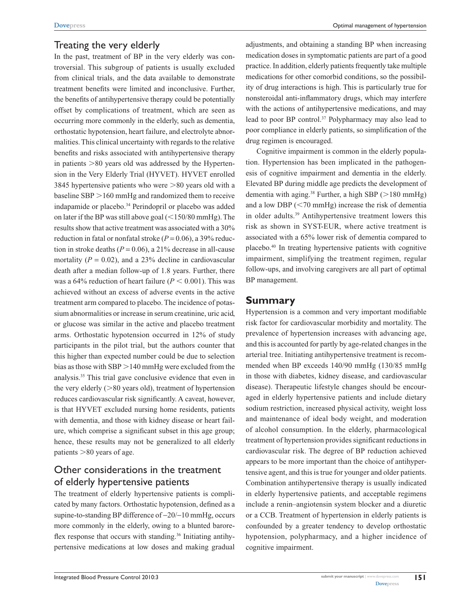## Treating the very elderly

In the past, treatment of BP in the very elderly was controversial. This subgroup of patients is usually excluded from clinical trials, and the data available to demonstrate treatment benefits were limited and inconclusive. Further, the benefits of antihypertensive therapy could be potentially offset by complications of treatment, which are seen as occurring more commonly in the elderly, such as dementia, orthostatic hypotension, heart failure, and electrolyte abnormalities. This clinical uncertainty with regards to the relative benefits and risks associated with antihypertensive therapy in patients  $>80$  years old was addressed by the Hypertension in the Very Elderly Trial (HYVET). HYVET enrolled 3845 hypertensive patients who were  $>80$  years old with a baseline  $SBP > 160$  mmHg and randomized them to receive indapamide or placebo.34 Perindopril or placebo was added on later if the BP was still above goal  $(<150/80$  mmHg). The results show that active treatment was associated with a 30% reduction in fatal or nonfatal stroke  $(P = 0.06)$ , a 39% reduction in stroke deaths  $(P = 0.06)$ , a 21% decrease in all-cause mortality  $(P = 0.02)$ , and a 23% decline in cardiovascular death after a median follow-up of 1.8 years. Further, there was a 64% reduction of heart failure  $(P < 0.001)$ . This was achieved without an excess of adverse events in the active treatment arm compared to placebo. The incidence of potassium abnormalities or increase in serum creatinine, uric acid, or glucose was similar in the active and placebo treatment arms. Orthostatic hypotension occurred in 12% of study participants in the pilot trial, but the authors counter that this higher than expected number could be due to selection bias as those with  $SBP > 140$  mmHg were excluded from the analysis.35 This trial gave conclusive evidence that even in the very elderly  $(>\!\!80$  years old), treatment of hypertension reduces cardiovascular risk significantly. A caveat, however, is that HYVET excluded nursing home residents, patients with dementia, and those with kidney disease or heart failure, which comprise a significant subset in this age group; hence, these results may not be generalized to all elderly patients  $>80$  years of age.

# Other considerations in the treatment of elderly hypertensive patients

The treatment of elderly hypertensive patients is complicated by many factors. Orthostatic hypotension, defined as a supine-to-standing BP difference of −20/−10 mmHg, occurs more commonly in the elderly, owing to a blunted baroreflex response that occurs with standing.<sup>36</sup> Initiating antihypertensive medications at low doses and making gradual adjustments, and obtaining a standing BP when increasing medication doses in symptomatic patients are part of a good practice. In addition, elderly patients frequently take multiple medications for other comorbid conditions, so the possibility of drug interactions is high. This is particularly true for nonsteroidal anti-inflammatory drugs, which may interfere with the actions of antihypertensive medications, and may lead to poor BP control.<sup>37</sup> Polypharmacy may also lead to poor compliance in elderly patients, so simplification of the drug regimen is encouraged.

Cognitive impairment is common in the elderly population. Hypertension has been implicated in the pathogenesis of cognitive impairment and dementia in the elderly. Elevated BP during middle age predicts the development of dementia with aging.<sup>38</sup> Further, a high SBP ( $>180$  mmHg) and a low DBP  $(< 70$  mmHg) increase the risk of dementia in older adults.39 Antihypertensive treatment lowers this risk as shown in SYST-EUR, where active treatment is associated with a 65% lower risk of dementia compared to placebo.40 In treating hypertensive patients with cognitive impairment, simplifying the treatment regimen, regular follow-ups, and involving caregivers are all part of optimal BP management.

## **Summary**

Hypertension is a common and very important modifiable risk factor for cardiovascular morbidity and mortality. The prevalence of hypertension increases with advancing age, and this is accounted for partly by age-related changes in the arterial tree. Initiating antihypertensive treatment is recommended when BP exceeds 140/90 mmHg (130/85 mmHg in those with diabetes, kidney disease, and cardiovascular disease). Therapeutic lifestyle changes should be encouraged in elderly hypertensive patients and include dietary sodium restriction, increased physical activity, weight loss and maintenance of ideal body weight, and moderation of alcohol consumption. In the elderly, pharmacological treatment of hypertension provides significant reductions in cardiovascular risk. The degree of BP reduction achieved appears to be more important than the choice of antihypertensive agent, and this is true for younger and older patients. Combination antihypertensive therapy is usually indicated in elderly hypertensive patients, and acceptable regimens include a renin–angiotensin system blocker and a diuretic or a CCB. Treatment of hypertension in elderly patients is confounded by a greater tendency to develop orthostatic hypotension, polypharmacy, and a higher incidence of cognitive impairment.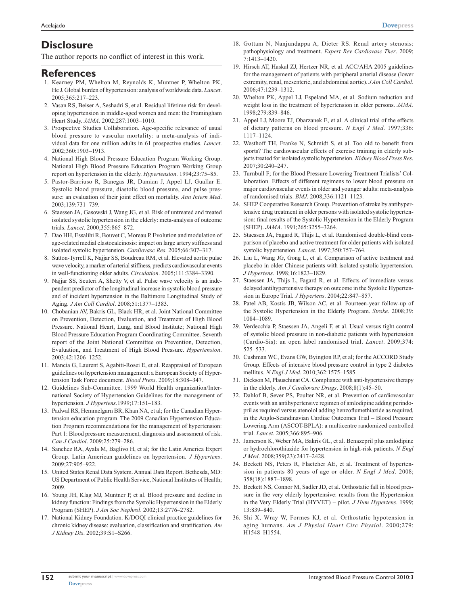# **Disclosure**

The author reports no conflict of interest in this work.

### **References**

- 1. Kearney PM, Whelton M, Reynolds K, Muntner P, Whelton PK, He J. Global burden of hypertension: analysis of worldwide data. *Lancet*. 2005;365:217–223.
- 2. Vasan RS, Beiser A, Seshadri S, et al. Residual lifetime risk for developing hypertension in middle-aged women and men: the Framingham Heart Study. *JAMA*. 2002;287:1003–1010.
- 3. Prospective Studies Collaboration. Age-specific relevance of usual blood pressure to vascular mortality: a meta-analysis of individual data for one million adults in 61 prospective studies. *Lancet*. 2002;360:1903–1913.
- 4. National High Blood Pressure Education Program Working Group. National High Blood Pressure Education Program Working Group report on hypertension in the elderly. *Hypertension*. 1994;23:75–85.
- 5. Pastor-Barriuso R, Banegas JR, Damian J, Appel LJ, Guallar E. Systolic blood pressure, diastolic blood pressure, and pulse pressure: an evaluation of their joint effect on mortality. *Ann Intern Med*. 2003;139:731–739.
- 6. Staessen JA, Gasowski J, Wang JG, et al. Risk of untreated and treated isolated systolic hypertension in the elderly: meta-analysis of outcome trials. *Lancet*. 2000;355:865–872.
- 7. Dao HH, Essalihi R, Bouvet C, Moreau P. Evolution and modulation of age-related medial elastocalcinosis: impact on large artery stiffness and isolated systolic hypertension. *Cardiovasc Res*. 2005;66:307–317.
- 8. Sutton-Tyrrell K, Najjar SS, Boudreau RM, et al. Elevated aortic pulse wave velocity, a marker of arterial stiffness, predicts cardiovascular events in well-functioning older adults. *Circulation*. 2005;111:3384–3390.
- 9. Najjar SS, Scuteri A, Shetty V, et al. Pulse wave velocity is an independent predictor of the longitudinal increase in systolic blood pressure and of incident hypertension in the Baltimore Longitudinal Study of Aging. *J Am Coll Cardiol*. 2008;51:1377–1383.
- 10. Chobanian AV, Bakris GL, Black HR, et al. Joint National Committee on Prevention, Detection, Evaluation, and Treatment of High Blood Pressure. National Heart, Lung, and Blood Institute; National High Blood Pressure Education Program Coordinating Committee. Seventh report of the Joint National Committee on Prevention, Detection, Evaluation, and Treatment of High Blood Pressure. *Hypertension*. 2003;42:1206–1252.
- 11. Mancia G, Laurent S, Agabiti-Rosei E, et al. Reappraisal of European guidelines on hypertension management: a European Society of Hypertension Task Force document. *Blood Press*. 2009;18:308–347.
- 12. Guidelines Sub-Committee. 1999 World Health organization/International Society of Hypertension Guidelines for the management of hypertension. *J Hypertens*.1999;17:151–183.
- 13. Padwal RS, Hemmelgarn BR, Khan NA, et al; for the Canadian Hypertension education program. The 2009 Canadian Hypertension Education Program recommendations for the management of hypertension: Part 1: Blood pressure measurement, diagnosis and assessment of risk. *Can J Cardiol*. 2009;25:279–286.
- 14. Sanchez RA, Ayala M, Baglivo H, et al; for the Latin America Expert Group. Latin American guidelines on hypertension. *J Hypertens*. 2009;27:905–922.
- 15. United States Renal Data System. Annual Data Report. Bethesda, MD: US Department of Public Health Service, National Institutes of Health; 2009.
- 16. Young JH, Klag MJ, Muntner P, et al. Blood pressure and decline in kidney function: Findings from the Systolic Hypertension in the Elderly Program (SHEP). *J Am Soc Nephrol*. 2002;13:2776–2782.
- 17. National Kidney Foundation. K/DOQI clinical practice guidelines for chronic kidney disease: evaluation, classification and stratification. *Am J Kidney Dis*. 2002;39:S1–S266.
- 18. Gottam N, Nanjundappa A, Dieter RS. Renal artery stenosis: pathophysiology and treatment. *Expert Rev Cardiovasc Ther*. 2009; 7:1413–1420.
- 19. Hirsch AT, Haskal ZJ, Hertzer NR, et al. ACC/AHA 2005 guidelines for the management of patients with peripheral arterial disease (lower extremity, renal, mesenteric, and abdominal aortic). *J Am Coll Cardiol*. 2006;47:1239–1312.
- 20. Whelton PK, Appel LJ, Espeland MA, et al. Sodium reduction and weight loss in the treatment of hypertension in older persons. *JAMA*. 1998;279:839–846.
- 21. Appel LJ, Moore TJ, Obarzanek E, et al. A clinical trial of the effects of dietary patterns on blood pressure. *N Engl J Med*. 1997;336: 1117–1124.
- 22. Westhoff TH, Franke N, Schmidt S, et al. Too old to benefit from sports? The cardiovascular effects of exercise training in elderly subjects treated for isolated systolic hypertension. *Kidney Blood Press Res*. 2007;30:240–247.
- 23. Turnbull F; for the Blood Pressure Lowering Treatment Trialists' Collaboration. Effects of different regimens to lower blood pressure on major cardiovascular events in older and younger adults: meta-analysis of randomised trials. *BMJ*. 2008;336:1121–1123.
- 24. SHEP Cooperative Research Group. Prevention of stroke by antihypertensive drug treatment in older persons with isolated systolic hypertension: final results of the Systolic Hypertension in the Elderly Program (SHEP). *JAMA*. 1991;265:3255–3264.
- 25. Staessen JA, Fagard R, Thijs L, et al. Randomised double-blind comparison of placebo and active treatment for older patients with isolated systolic hypertension. *Lancet*. 1997;350:757–764.
- 26. Liu L, Wang JG, Gong L, et al. Comparison of active treatment and placebo in older Chinese patients with isolated systolic hypertension. *J Hypertens*. 1998;16:1823–1829.
- 27. Staessen JA, Thijs L, Fagard R, et al. Effects of immediate versus delayed antihypertensive therapy on outcome in the Systolic Hypertension in Europe Trial. *J Hypertens*. 2004;22:847–857.
- 28. Patel AB, Kostis JB, Wilson AC, et al. Fourteen-year follow-up of the Systolic Hypertension in the Elderly Program. *Stroke*. 2008;39: 1084–1089.
- 29. Verdecchia P, Staessen JA, Angeli F, et al. Usual versus tight control of systolic blood pressure in non-diabetic patients with hypertension (Cardio-Sis): an open label randomised trial. *Lancet*. 2009;374: 525–533.
- 30. Cushman WC, Evans GW, Byington RP, et al; for the ACCORD Study Group. Effects of intensive blood pressure control in type 2 diabetes mellitus. *N Engl J Med*. 2010;362:1575–1585.
- 31. Dickson M, Plauschinat CA. Compliance with anti-hypertensive therapy in the elderly. *Am J Cardiovasc Drugs*. 2008;8(1):45–50.
- 32. Dahlof B, Sever PS, Poulter NR, et al. Prevention of cardiovascular events with an antihypertensive regimen of amlodipine adding perindopril as required versus atenolol adding benzoflumethiazide as required, in the Anglo-Scandinavian Cardiac Outcomes Trial – Blood Pressure Lowering Arm (ASCOT-BPLA): a multicentre randomized controlled trial. *Lancet*. 2005;366:895–906.
- 33. Jamerson K, Weber MA, Bakris GL, et al. Benazepril plus amlodipine or hydrochlorothiazide for hypertension in high-risk patients. *N Engl J Med*. 2008;359(23):2417–2428.
- 34. Beckett NS, Peters R, Flaetcher AE, et al. Treatment of hypertension in patients 80 years of age or older. *N Engl J Med*. 2008; 358(18):1887–1898.
- 35. Beckett NS, Connor M, Sadler JD, et al. Orthostatic fall in blood pressure in the very elderly hypertensive: results from the Hypertension in the Very Elderly Trial (HYVET) – pilot. *J Hum Hypertens*. 1999; 13:839–840.
- 36. Shi X, Wray W, Formes KJ, et al. Orthostatic hypotension in aging humans. *Am J Physiol Heart Circ Physiol*. 2000;279: H1548–H1554.